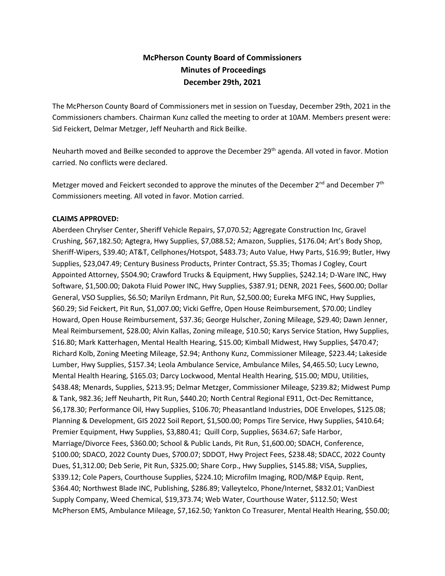# **McPherson County Board of Commissioners Minutes of Proceedings December 29th, 2021**

The McPherson County Board of Commissioners met in session on Tuesday, December 29th, 2021 in the Commissioners chambers. Chairman Kunz called the meeting to order at 10AM. Members present were: Sid Feickert, Delmar Metzger, Jeff Neuharth and Rick Beilke.

Neuharth moved and Beilke seconded to approve the December 29<sup>th</sup> agenda. All voted in favor. Motion carried. No conflicts were declared.

Metzger moved and Feickert seconded to approve the minutes of the December 2<sup>nd</sup> and December 7<sup>th</sup> Commissioners meeting. All voted in favor. Motion carried.

#### **CLAIMS APPROVED:**

Aberdeen Chrylser Center, Sheriff Vehicle Repairs, \$7,070.52; Aggregate Construction Inc, Gravel Crushing, \$67,182.50; Agtegra, Hwy Supplies, \$7,088.52; Amazon, Supplies, \$176.04; Art's Body Shop, Sheriff-Wipers, \$39.40; AT&T, Cellphones/Hotspot, \$483.73; Auto Value, Hwy Parts, \$16.99; Butler, Hwy Supplies, \$23,047.49; Century Business Products, Printer Contract, \$5.35; Thomas J Cogley, Court Appointed Attorney, \$504.90; Crawford Trucks & Equipment, Hwy Supplies, \$242.14; D-Ware INC, Hwy Software, \$1,500.00; Dakota Fluid Power INC, Hwy Supplies, \$387.91; DENR, 2021 Fees, \$600.00; Dollar General, VSO Supplies, \$6.50; Marilyn Erdmann, Pit Run, \$2,500.00; Eureka MFG INC, Hwy Supplies, \$60.29; Sid Feickert, Pit Run, \$1,007.00; Vicki Geffre, Open House Reimbursement, \$70.00; Lindley Howard, Open House Reimbursement, \$37.36; George Hulscher, Zoning Mileage, \$29.40; Dawn Jenner, Meal Reimbursement, \$28.00; Alvin Kallas, Zoning mileage, \$10.50; Karys Service Station, Hwy Supplies, \$16.80; Mark Katterhagen, Mental Health Hearing, \$15.00; Kimball Midwest, Hwy Supplies, \$470.47; Richard Kolb, Zoning Meeting Mileage, \$2.94; Anthony Kunz, Commissioner Mileage, \$223.44; Lakeside Lumber, Hwy Supplies, \$157.34; Leola Ambulance Service, Ambulance Miles, \$4,465.50; Lucy Lewno, Mental Health Hearing, \$165.03; Darcy Lockwood, Mental Health Hearing, \$15.00; MDU, Utilities, \$438.48; Menards, Supplies, \$213.95; Delmar Metzger, Commissioner Mileage, \$239.82; Midwest Pump & Tank, 982.36; Jeff Neuharth, Pit Run, \$440.20; North Central Regional E911, Oct-Dec Remittance, \$6,178.30; Performance Oil, Hwy Supplies, \$106.70; Pheasantland Industries, DOE Envelopes, \$125.08; Planning & Development, GIS 2022 Soil Report, \$1,500.00; Pomps Tire Service, Hwy Supplies, \$410.64; Premier Equipment, Hwy Supplies, \$3,880.41; Quill Corp, Supplies, \$634.67; Safe Harbor, Marriage/Divorce Fees, \$360.00; School & Public Lands, Pit Run, \$1,600.00; SDACH, Conference, \$100.00; SDACO, 2022 County Dues, \$700.07; SDDOT, Hwy Project Fees, \$238.48; SDACC, 2022 County Dues, \$1,312.00; Deb Serie, Pit Run, \$325.00; Share Corp., Hwy Supplies, \$145.88; VISA, Supplies, \$339.12; Cole Papers, Courthouse Supplies, \$224.10; Microfilm Imaging, ROD/M&P Equip. Rent, \$364.40; Northwest Blade INC, Publishing, \$286.89; Valleytelco, Phone/Internet, \$832.01; VanDiest Supply Company, Weed Chemical, \$19,373.74; Web Water, Courthouse Water, \$112.50; West McPherson EMS, Ambulance Mileage, \$7,162.50; Yankton Co Treasurer, Mental Health Hearing, \$50.00;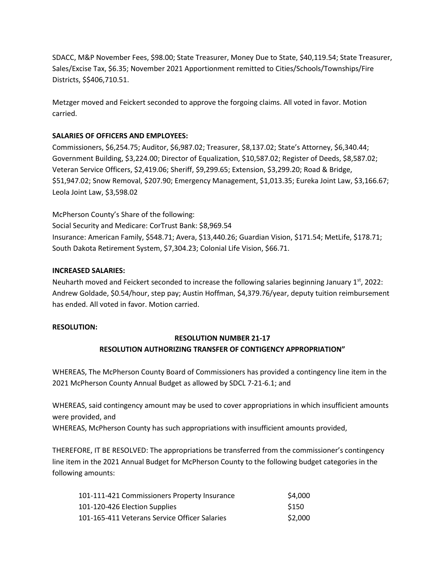SDACC, M&P November Fees, \$98.00; State Treasurer, Money Due to State, \$40,119.54; State Treasurer, Sales/Excise Tax, \$6.35; November 2021 Apportionment remitted to Cities/Schools/Townships/Fire Districts, \$\$406,710.51.

Metzger moved and Feickert seconded to approve the forgoing claims. All voted in favor. Motion carried.

#### **SALARIES OF OFFICERS AND EMPLOYEES:**

Commissioners, \$6,254.75; Auditor, \$6,987.02; Treasurer, \$8,137.02; State's Attorney, \$6,340.44; Government Building, \$3,224.00; Director of Equalization, \$10,587.02; Register of Deeds, \$8,587.02; Veteran Service Officers, \$2,419.06; Sheriff, \$9,299.65; Extension, \$3,299.20; Road & Bridge, \$51,947.02; Snow Removal, \$207.90; Emergency Management, \$1,013.35; Eureka Joint Law, \$3,166.67; Leola Joint Law, \$3,598.02

McPherson County's Share of the following: Social Security and Medicare: CorTrust Bank: \$8,969.54 Insurance: American Family, \$548.71; Avera, \$13,440.26; Guardian Vision, \$171.54; MetLife, \$178.71; South Dakota Retirement System, \$7,304.23; Colonial Life Vision, \$66.71.

#### **INCREASED SALARIES:**

Neuharth moved and Feickert seconded to increase the following salaries beginning January  $1<sup>st</sup>$ , 2022: Andrew Goldade, \$0.54/hour, step pay; Austin Hoffman, \$4,379.76/year, deputy tuition reimbursement has ended. All voted in favor. Motion carried.

#### **RESOLUTION:**

## **RESOLUTION NUMBER 21-17 RESOLUTION AUTHORIZING TRANSFER OF CONTIGENCY APPROPRIATION"**

WHEREAS, The McPherson County Board of Commissioners has provided a contingency line item in the 2021 McPherson County Annual Budget as allowed by SDCL 7-21-6.1; and

WHEREAS, said contingency amount may be used to cover appropriations in which insufficient amounts were provided, and

WHEREAS, McPherson County has such appropriations with insufficient amounts provided,

THEREFORE, IT BE RESOLVED: The appropriations be transferred from the commissioner's contingency line item in the 2021 Annual Budget for McPherson County to the following budget categories in the following amounts:

| 101-111-421 Commissioners Property Insurance  | \$4,000 |
|-----------------------------------------------|---------|
| 101-120-426 Election Supplies                 | \$150   |
| 101-165-411 Veterans Service Officer Salaries | \$2,000 |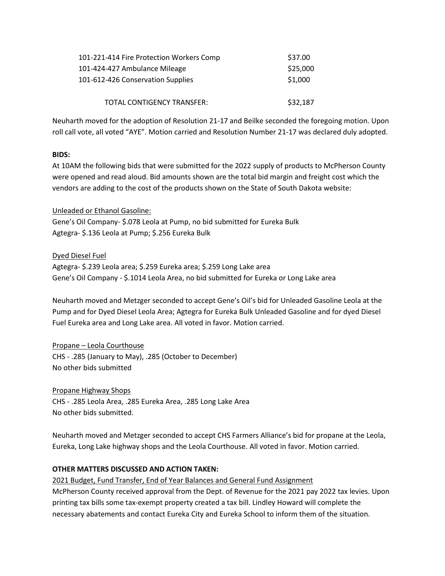| 101-221-414 Fire Protection Workers Comp | \$37.00  |
|------------------------------------------|----------|
| 101-424-427 Ambulance Mileage            | \$25,000 |
| 101-612-426 Conservation Supplies        | \$1,000  |
| TOTAL CONTIGENCY TRANSFER:               | \$32,187 |

Neuharth moved for the adoption of Resolution 21-17 and Beilke seconded the foregoing motion. Upon roll call vote, all voted "AYE". Motion carried and Resolution Number 21-17 was declared duly adopted.

#### **BIDS:**

At 10AM the following bids that were submitted for the 2022 supply of products to McPherson County were opened and read aloud. Bid amounts shown are the total bid margin and freight cost which the vendors are adding to the cost of the products shown on the State of South Dakota website:

### Unleaded or Ethanol Gasoline:

Gene's Oil Company- \$.078 Leola at Pump, no bid submitted for Eureka Bulk Agtegra- \$.136 Leola at Pump; \$.256 Eureka Bulk

Dyed Diesel Fuel

Agtegra- \$.239 Leola area; \$.259 Eureka area; \$.259 Long Lake area Gene's Oil Company - \$.1014 Leola Area, no bid submitted for Eureka or Long Lake area

Neuharth moved and Metzger seconded to accept Gene's Oil's bid for Unleaded Gasoline Leola at the Pump and for Dyed Diesel Leola Area; Agtegra for Eureka Bulk Unleaded Gasoline and for dyed Diesel Fuel Eureka area and Long Lake area. All voted in favor. Motion carried.

Propane – Leola Courthouse

CHS - .285 (January to May), .285 (October to December) No other bids submitted

Propane Highway Shops

CHS - .285 Leola Area, .285 Eureka Area, .285 Long Lake Area No other bids submitted.

Neuharth moved and Metzger seconded to accept CHS Farmers Alliance's bid for propane at the Leola, Eureka, Long Lake highway shops and the Leola Courthouse. All voted in favor. Motion carried.

### **OTHER MATTERS DISCUSSED AND ACTION TAKEN:**

2021 Budget, Fund Transfer, End of Year Balances and General Fund Assignment

McPherson County received approval from the Dept. of Revenue for the 2021 pay 2022 tax levies. Upon printing tax bills some tax-exempt property created a tax bill. Lindley Howard will complete the necessary abatements and contact Eureka City and Eureka School to inform them of the situation.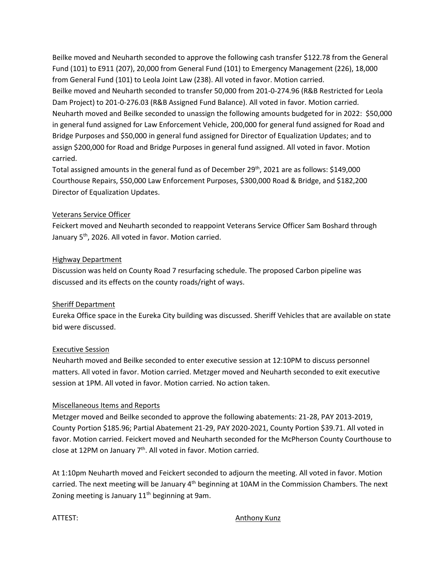Beilke moved and Neuharth seconded to approve the following cash transfer \$122.78 from the General Fund (101) to E911 (207), 20,000 from General Fund (101) to Emergency Management (226), 18,000 from General Fund (101) to Leola Joint Law (238). All voted in favor. Motion carried. Beilke moved and Neuharth seconded to transfer 50,000 from 201-0-274.96 (R&B Restricted for Leola Dam Project) to 201-0-276.03 (R&B Assigned Fund Balance). All voted in favor. Motion carried. Neuharth moved and Beilke seconded to unassign the following amounts budgeted for in 2022: \$50,000 in general fund assigned for Law Enforcement Vehicle, 200,000 for general fund assigned for Road and Bridge Purposes and \$50,000 in general fund assigned for Director of Equalization Updates; and to assign \$200,000 for Road and Bridge Purposes in general fund assigned. All voted in favor. Motion carried.

Total assigned amounts in the general fund as of December 29<sup>th</sup>, 2021 are as follows: \$149,000 Courthouse Repairs, \$50,000 Law Enforcement Purposes, \$300,000 Road & Bridge, and \$182,200 Director of Equalization Updates.

### Veterans Service Officer

Feickert moved and Neuharth seconded to reappoint Veterans Service Officer Sam Boshard through January 5<sup>th</sup>, 2026. All voted in favor. Motion carried.

#### Highway Department

Discussion was held on County Road 7 resurfacing schedule. The proposed Carbon pipeline was discussed and its effects on the county roads/right of ways.

### Sheriff Department

Eureka Office space in the Eureka City building was discussed. Sheriff Vehicles that are available on state bid were discussed.

### Executive Session

Neuharth moved and Beilke seconded to enter executive session at 12:10PM to discuss personnel matters. All voted in favor. Motion carried. Metzger moved and Neuharth seconded to exit executive session at 1PM. All voted in favor. Motion carried. No action taken.

#### Miscellaneous Items and Reports

Metzger moved and Beilke seconded to approve the following abatements: 21-28, PAY 2013-2019, County Portion \$185.96; Partial Abatement 21-29, PAY 2020-2021, County Portion \$39.71. All voted in favor. Motion carried. Feickert moved and Neuharth seconded for the McPherson County Courthouse to close at 12PM on January 7<sup>th</sup>. All voted in favor. Motion carried.

At 1:10pm Neuharth moved and Feickert seconded to adjourn the meeting. All voted in favor. Motion carried. The next meeting will be January 4<sup>th</sup> beginning at 10AM in the Commission Chambers. The next Zoning meeting is January  $11<sup>th</sup>$  beginning at 9am.

#### ATTEST: Anthony Kunz